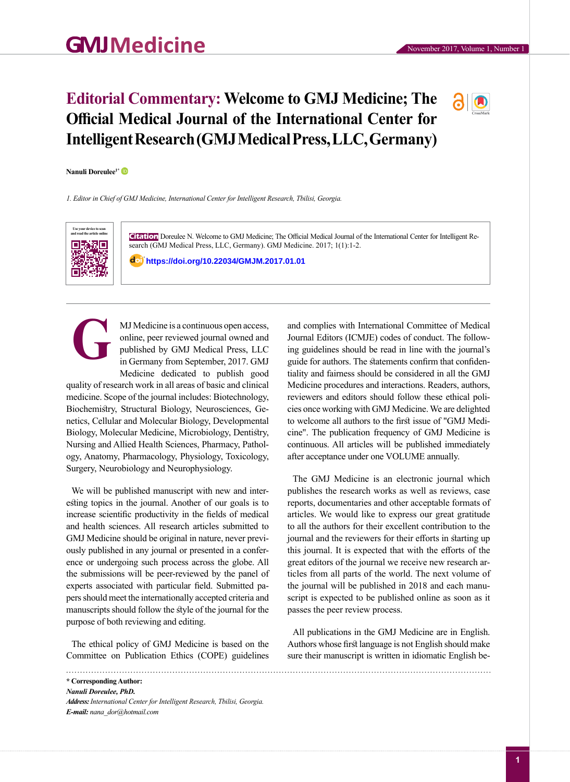## **Editorial Commentary: Welcome to GMJ Medicine; The Official Medical Journal of the International Center for Intelligent Research (GMJ Medical Press, LLC, Germany)**



## **Nanuli Doreulee1\***

*1. Editor in Chief of GMJ Medicine, International Center for Intelligent Research, Tbilisi, Georgia.*



**Citation** Doreulee N. Welcome to GMJ Medicine; The Official Medical Journal of the International Center for Intelligent Research (GMJ Medical Press, LLC, Germany). GMJ Medicine. 2017; 1[\(1\):1-2.](https://doi.org/10.29088/GMJM.2017.01)

**https://doi.org/10.220 [https://doi.org/10.22034/GMJM](https://doi.org/10.29088/GMJM.2017.01)[.2017.01.01](https://doi.org/10.22034/GMJM.2017.01.01)** 34**/GMJM.2017.01.01**

MJ Medicine is a continuous open access, online, peer reviewed journal owned and published by GMJ Medical Press, LLC in Germany from September, 2017. GMJ Medicine dedicated to publish good **G**

quality of research work in all areas of basic and clinical medicine. Scope of the journal includes: Biotechnology, Biochemistry, Structural Biology, Neurosciences, Genetics, Cellular and Molecular Biology, Developmental Biology, Molecular Medicine, Microbiology, Dentistry, Nursing and Allied Health Sciences, Pharmacy, Pathology, Anatomy, Pharmacology, Physiology, Toxicology, Surgery, Neurobiology and Neurophysiology.

We will be published manuscript with new and interesting topics in the journal. Another of our goals is to increase scientific productivity in the fields of medical and health sciences. All research articles submitted to GMJ Medicine should be original in nature, never previously published in any journal or presented in a conference or undergoing such process across the globe. All the submissions will be peer-reviewed by the panel of experts associated with particular field. Submitted papers should meet the internationally accepted criteria and manuscripts should follow the style of the journal for the purpose of both reviewing and editing.

The ethical policy of GMJ Medicine is based on the Committee on Publication Ethics (COPE) guidelines

**\* Corresponding Author:** *Nanuli Doreulee, PhD. Address:International Center for Intelligent Research, Tbilisi, Georgia. E-mail: nana\_dor@hotmail.com*

and complies with International Committee of Medical Journal Editors (ICMJE) codes of conduct. The following guidelines should be read in line with the journal's guide for authors. The statements confirm that confidentiality and fairness should be considered in all the GMJ Medicine procedures and interactions. Readers, authors, reviewers and editors should follow these ethical policies once working with GMJ Medicine. We are delighted to welcome all authors to the first issue of "GMJ Medicine". The publication frequency of GMJ Medicine is continuous. All articles will be published immediately after acceptance under one VOLUME annually.

The GMJ Medicine is an electronic journal which publishes the research works as well as reviews, case reports, documentaries and other acceptable formats of articles. We would like to express our great gratitude to all the authors for their excellent contribution to the journal and the reviewers for their efforts in starting up this journal. It is expected that with the efforts of the great editors of the journal we receive new research articles from all parts of the world. The next volume of the journal will be published in 2018 and each manuscript is expected to be published online as soon as it passes the peer review process.

All publications in the GMJ Medicine are in English. Authors whose first language is not English should make sure their manuscript is written in idiomatic English be-